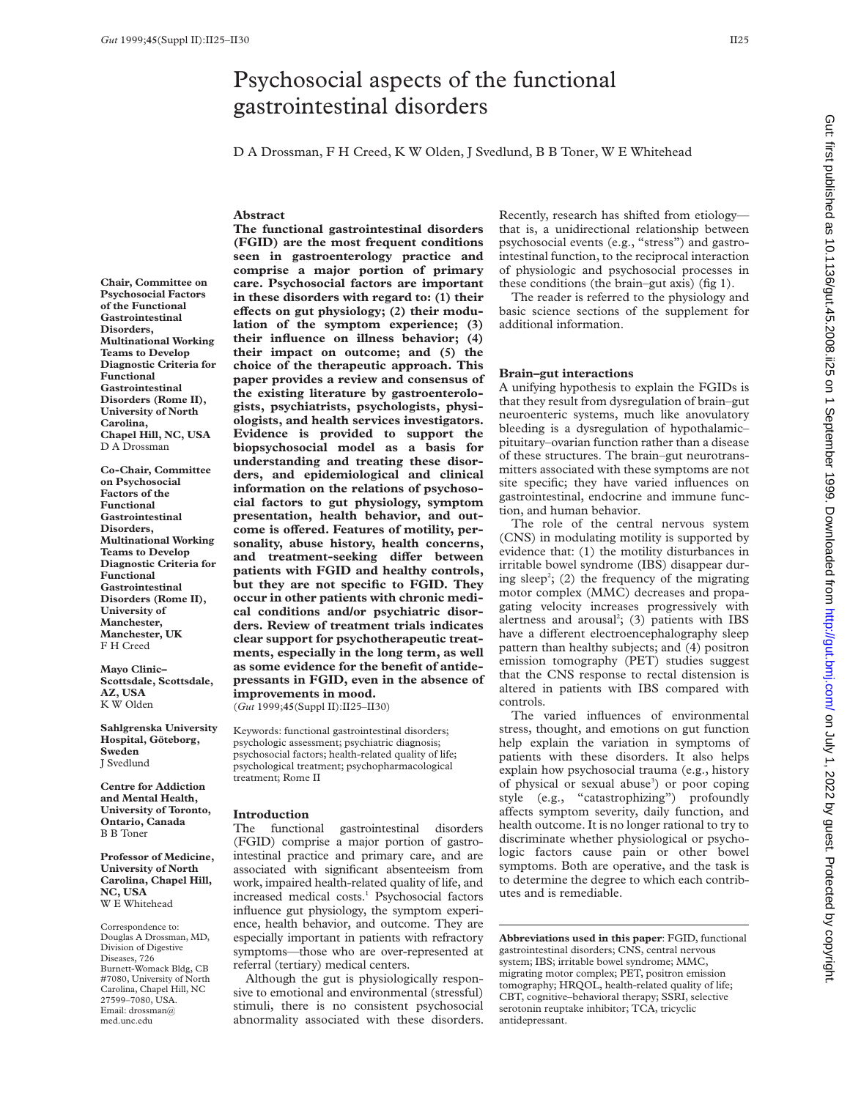# Psychosocial aspects of the functional gastrointestinal disorders

D A Drossman, F H Creed, K W Olden, J Svedlund, B B Toner, W E Whitehead

**Abstract**

**Chair, Committee on Psychosocial Factors of the Functional Gastrointestinal Disorders, Multinational Working Teams to Develop Diagnostic Criteria for Functional Gastrointestinal Disorders (Rome II), University of North Carolina, Chapel Hill, NC, USA** D A Drossman

**Co-Chair, Committee on Psychosocial Factors of the Functional Gastrointestinal Disorders, Multinational Working Teams to Develop Diagnostic Criteria for Functional Gastrointestinal Disorders (Rome II), University of Manchester, Manchester, UK** F H Creed

**Mayo Clinic– Scottsdale, Scottsdale, AZ, USA** K W Olden

**Sahlgrenska University Hospital, Göteborg, Sweden** J Svedlund

**Centre for Addiction and Mental Health, University of Toronto, Ontario, Canada** B B Toner

**Professor of Medicine, University of North Carolina, Chapel Hill, NC, USA** W E Whitehead

Correspondence to: Douglas A Drossman, MD, Division of Digestive Diseases, 726 Burnett-Womack Bldg, CB #7080, University of North Carolina, Chapel Hill, NC 27599–7080, USA. Email: drossman@ med.unc.edu

**The functional gastrointestinal disorders (FGID) are the most frequent conditions seen in gastroenterology practice and comprise a major portion of primary care. Psychosocial factors are important in these disorders with regard to: (1) their** effects on gut physiology; (2) their modu**lation of the symptom experience; (3) their influence on illness behavior; (4) their impact on outcome; and (5) the choice of the therapeutic approach. This paper provides a review and consensus of the existing literature by gastroenterologists, psychiatrists, psychologists, physiologists, and health services investigators. Evidence is provided to support the biopsychosocial model as a basis for understanding and treating these disorders, and epidemiological and clinical information on the relations of psychosocial factors to gut physiology, symptom presentation, health behavior, and out**come is offered. Features of motility, per**sonality, abuse history, health concerns,** and treatment-seeking differ between **patients with FGID and healthy controls, but they are not specific to FGID. They occur in other patients with chronic medical conditions and/or psychiatric disorders. Review of treatment trials indicates clear support for psychotherapeutic treatments, especially in the long term, as well as some evidence for the benefit of antidepressants in FGID, even in the absence of improvements in mood.**

(*Gut* 1999;**45**(Suppl II):II25–II30)

Keywords: functional gastrointestinal disorders; psychologic assessment; psychiatric diagnosis; psychosocial factors; health-related quality of life; psychological treatment; psychopharmacological treatment; Rome II

#### **Introduction**

The functional gastrointestinal disorders (FGID) comprise a major portion of gastrointestinal practice and primary care, and are associated with significant absenteeism from work, impaired health-related quality of life, and increased medical costs.<sup>1</sup> Psychosocial factors influence gut physiology, the symptom experience, health behavior, and outcome. They are especially important in patients with refractory symptoms—those who are over-represented at referral (tertiary) medical centers.

Although the gut is physiologically responsive to emotional and environmental (stressful) stimuli, there is no consistent psychosocial abnormality associated with these disorders. Recently, research has shifted from etiology that is, a unidirectional relationship between psychosocial events (e.g., "stress") and gastrointestinal function, to the reciprocal interaction of physiologic and psychosocial processes in these conditions (the brain–gut axis) (fig 1).

The reader is referred to the physiology and basic science sections of the supplement for additional information.

#### **Brain–gut interactions**

A unifying hypothesis to explain the FGIDs is that they result from dysregulation of brain–gut neuroenteric systems, much like anovulatory bleeding is a dysregulation of hypothalamic– pituitary–ovarian function rather than a disease of these structures. The brain–gut neurotransmitters associated with these symptoms are not site specific; they have varied influences on gastrointestinal, endocrine and immune function, and human behavior.

The role of the central nervous system (CNS) in modulating motility is supported by evidence that: (1) the motility disturbances in irritable bowel syndrome (IBS) disappear during sleep<sup>2</sup>; (2) the frequency of the migrating motor complex (MMC) decreases and propagating velocity increases progressively with alertness and arousal<sup>2</sup>; (3) patients with IBS have a different electroencephalography sleep pattern than healthy subjects; and (4) positron emission tomography (PET) studies suggest that the CNS response to rectal distension is altered in patients with IBS compared with controls.

The varied influences of environmental stress, thought, and emotions on gut function help explain the variation in symptoms of patients with these disorders. It also helps explain how psychosocial trauma (e.g., history of physical or sexual abuse<sup>3</sup>) or poor coping style (e.g., "catastrophizing") profoundly affects symptom severity, daily function, and health outcome. It is no longer rational to try to discriminate whether physiological or psychologic factors cause pain or other bowel symptoms. Both are operative, and the task is to determine the degree to which each contributes and is remediable.

**Abbreviations used in this paper**: FGID, functional gastrointestinal disorders; CNS, central nervous system; IBS; irritable bowel syndrome; MMC, migrating motor complex; PET, positron emission tomography; HRQOL, health-related quality of life; CBT, cognitive–behavioral therapy; SSRI, selective serotonin reuptake inhibitor; TCA, tricyclic antidepressant.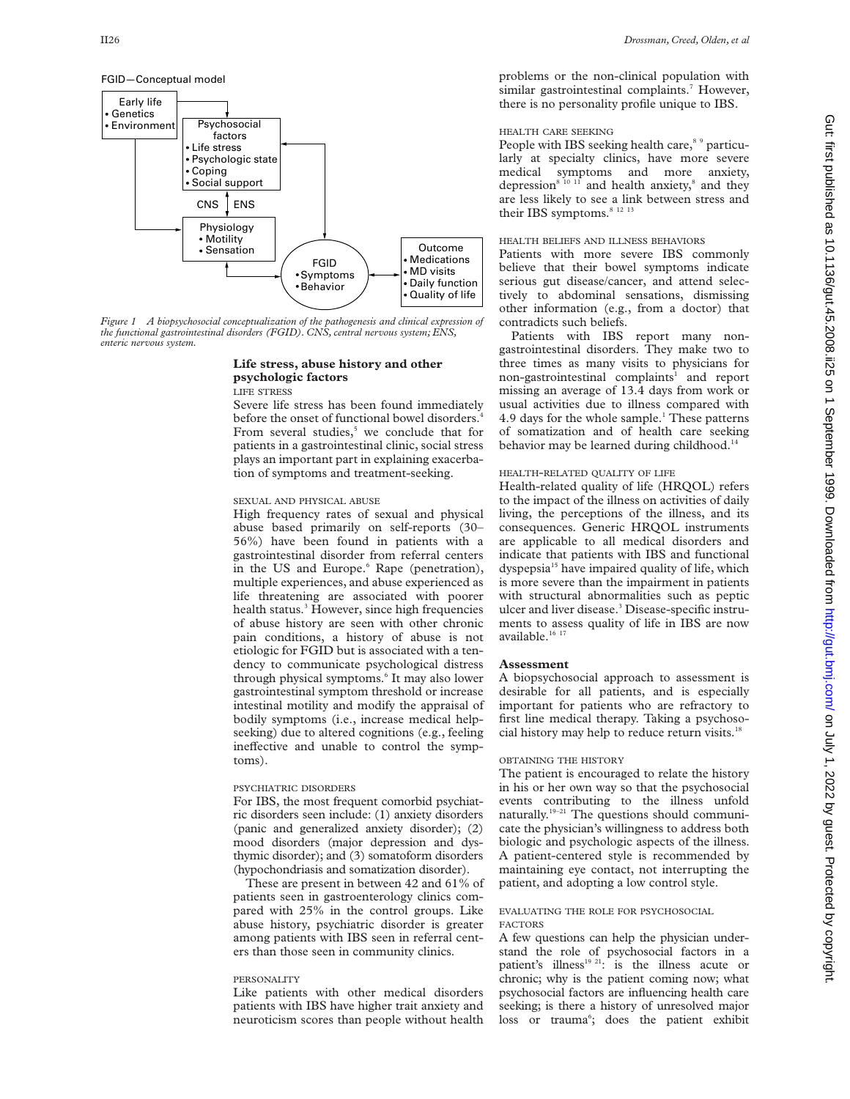| FGID-Conceptual model |  |  |
|-----------------------|--|--|
|-----------------------|--|--|



*Figure 1 A biopsychosocial conceptualization of the pathogenesis and clinical expression of the functional gastrointestinal disorders (FGID). CNS, central nervous system; ENS, enteric nervous system.*

# **Life stress, abuse history and other psychologic factors**

LIFE STRESS

Severe life stress has been found immediately before the onset of functional bowel disorders.<sup>4</sup> From several studies,<sup>5</sup> we conclude that for patients in a gastrointestinal clinic, social stress plays an important part in explaining exacerbation of symptoms and treatment-seeking.

# SEXUAL AND PHYSICAL ABUSE

High frequency rates of sexual and physical abuse based primarily on self-reports (30– 56%) have been found in patients with a gastrointestinal disorder from referral centers in the US and Europe.<sup>6</sup> Rape (penetration), multiple experiences, and abuse experienced as life threatening are associated with poorer health status.<sup>3</sup> However, since high frequencies of abuse history are seen with other chronic pain conditions, a history of abuse is not etiologic for FGID but is associated with a tendency to communicate psychological distress through physical symptoms.<sup>6</sup> It may also lower gastrointestinal symptom threshold or increase intestinal motility and modify the appraisal of bodily symptoms (i.e., increase medical helpseeking) due to altered cognitions (e.g., feeling ineffective and unable to control the symptoms).

#### PSYCHIATRIC DISORDERS

For IBS, the most frequent comorbid psychiatric disorders seen include: (1) anxiety disorders (panic and generalized anxiety disorder); (2) mood disorders (major depression and dysthymic disorder); and (3) somatoform disorders (hypochondriasis and somatization disorder).

These are present in between 42 and 61% of patients seen in gastroenterology clinics compared with 25% in the control groups. Like abuse history, psychiatric disorder is greater among patients with IBS seen in referral centers than those seen in community clinics.

### PERSONALITY

Like patients with other medical disorders patients with IBS have higher trait anxiety and neuroticism scores than people without health problems or the non-clinical population with similar gastrointestinal complaints.<sup>7</sup> However, there is no personality profile unique to IBS.

### HEALTH CARE SEEKING

People with IBS seeking health care,<sup>8 9</sup> particularly at specialty clinics, have more severe medical symptoms and more anxiety, depression<sup>8 10 11</sup> and health anxiety,<sup>8</sup> and they are less likely to see a link between stress and their IBS symptoms.<sup>8 12 13</sup>

#### HEALTH BELIEFS AND ILLNESS BEHAVIORS

Patients with more severe IBS commonly believe that their bowel symptoms indicate serious gut disease/cancer, and attend selectively to abdominal sensations, dismissing other information (e.g., from a doctor) that contradicts such beliefs.

Patients with IBS report many nongastrointestinal disorders. They make two to three times as many visits to physicians for  $non-gastrointesimal$  complaints<sup>1</sup> and report missing an average of 13.4 days from work or usual activities due to illness compared with 4.9 days for the whole sample.<sup>1</sup> These patterns of somatization and of health care seeking behavior may be learned during childhood.<sup>14</sup>

# HEALTH-RELATED QUALITY OF LIFE

Health-related quality of life (HRQOL) refers to the impact of the illness on activities of daily living, the perceptions of the illness, and its consequences. Generic HRQOL instruments are applicable to all medical disorders and indicate that patients with IBS and functional dyspepsia15 have impaired quality of life, which is more severe than the impairment in patients with structural abnormalities such as peptic ulcer and liver disease.3 Disease-specific instruments to assess quality of life in IBS are now available.<sup>16 17</sup>

#### **Assessment**

A biopsychosocial approach to assessment is desirable for all patients, and is especially important for patients who are refractory to first line medical therapy. Taking a psychosocial history may help to reduce return visits.<sup>18</sup>

#### OBTAINING THE HISTORY

The patient is encouraged to relate the history in his or her own way so that the psychosocial events contributing to the illness unfold naturally.19–21 The questions should communicate the physician's willingness to address both biologic and psychologic aspects of the illness. A patient-centered style is recommended by maintaining eye contact, not interrupting the patient, and adopting a low control style.

#### EVALUATING THE ROLE FOR PSYCHOSOCIAL **FACTORS**

A few questions can help the physician understand the role of psychosocial factors in a patient's illness<sup>19 21</sup>: is the illness acute or chronic; why is the patient coming now; what psychosocial factors are influencing health care seeking; is there a history of unresolved major loss or trauma<sup>6</sup>; does the patient exhibit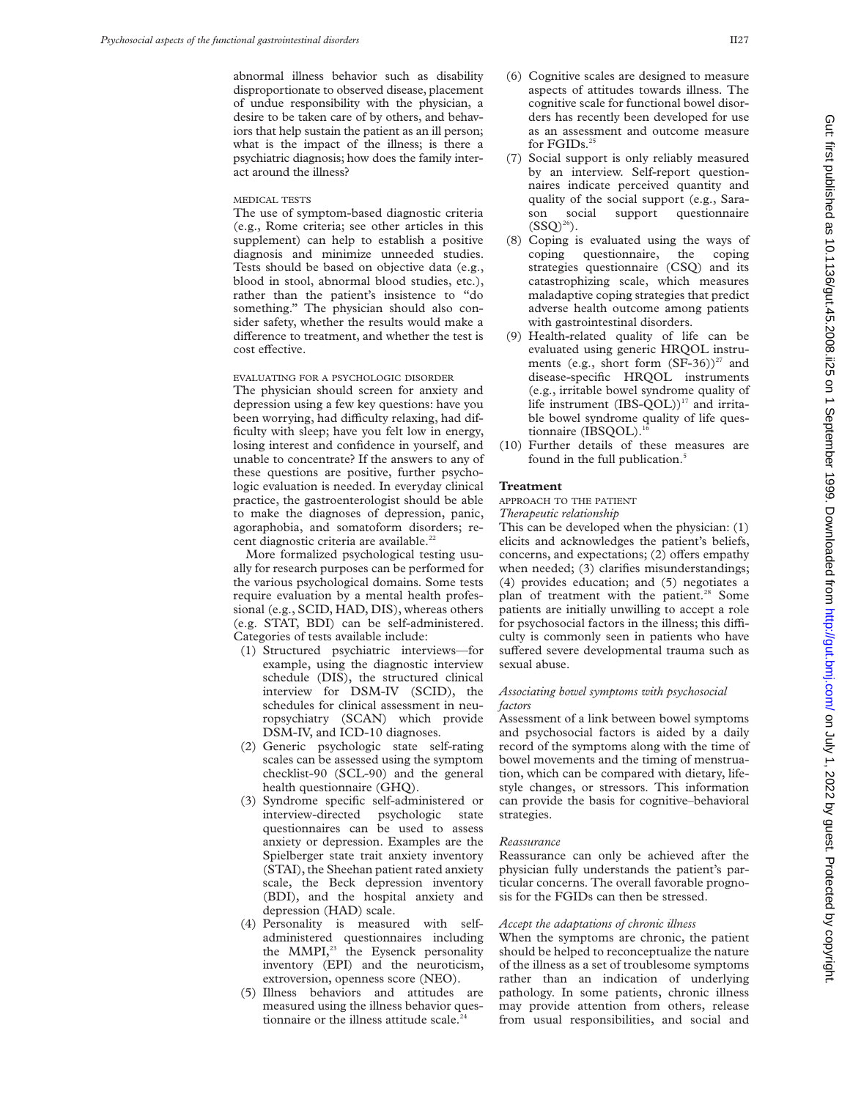abnormal illness behavior such as disability disproportionate to observed disease, placement of undue responsibility with the physician, a desire to be taken care of by others, and behaviors that help sustain the patient as an ill person; what is the impact of the illness; is there a psychiatric diagnosis; how does the family interact around the illness?

#### MEDICAL TESTS

The use of symptom-based diagnostic criteria (e.g., Rome criteria; see other articles in this supplement) can help to establish a positive diagnosis and minimize unneeded studies. Tests should be based on objective data (e.g., blood in stool, abnormal blood studies, etc.), rather than the patient's insistence to "do something." The physician should also consider safety, whether the results would make a difference to treatment, and whether the test is cost effective.

#### EVALUATING FOR A PSYCHOLOGIC DISORDER

The physician should screen for anxiety and depression using a few key questions: have you been worrying, had difficulty relaxing, had difficulty with sleep; have you felt low in energy, losing interest and confidence in yourself, and unable to concentrate? If the answers to any of these questions are positive, further psychologic evaluation is needed. In everyday clinical practice, the gastroenterologist should be able to make the diagnoses of depression, panic, agoraphobia, and somatoform disorders; recent diagnostic criteria are available.<sup>22</sup>

More formalized psychological testing usually for research purposes can be performed for the various psychological domains. Some tests require evaluation by a mental health professional (e.g., SCID, HAD, DIS), whereas others (e.g. STAT, BDI) can be self-administered. Categories of tests available include:

- (1) Structured psychiatric interviews—for example, using the diagnostic interview schedule (DIS), the structured clinical interview for DSM-IV (SCID), the schedules for clinical assessment in neuropsychiatry (SCAN) which provide DSM-IV, and ICD-10 diagnoses.
- (2) Generic psychologic state self-rating scales can be assessed using the symptom checklist-90 (SCL-90) and the general health questionnaire (GHQ).
- (3) Syndrome specific self-administered or interview-directed psychologic state questionnaires can be used to assess anxiety or depression. Examples are the Spielberger state trait anxiety inventory (STAI), the Sheehan patient rated anxiety scale, the Beck depression inventory (BDI), and the hospital anxiety and depression (HAD) scale.
- (4) Personality is measured with selfadministered questionnaires including the MMPI,<sup>23</sup> the Eysenck personality inventory (EPI) and the neuroticism, extroversion, openness score (NEO).
- (5) Illness behaviors and attitudes are measured using the illness behavior questionnaire or the illness attitude scale.<sup>2</sup>
- (6) Cognitive scales are designed to measure aspects of attitudes towards illness. The cognitive scale for functional bowel disorders has recently been developed for use as an assessment and outcome measure for FGIDs.<sup>25</sup>
- (7) Social support is only reliably measured by an interview. Self-report questionnaires indicate perceived quantity and quality of the social support (e.g., Sarason social support questionnaire  $(SSQ)^{26}$ ).
- (8) Coping is evaluated using the ways of coping questionnaire, the coping strategies questionnaire (CSQ) and its catastrophizing scale, which measures maladaptive coping strategies that predict adverse health outcome among patients with gastrointestinal disorders.
- (9) Health-related quality of life can be evaluated using generic HRQOL instruments (e.g., short form  $(SF-36)^{27}$  and disease-specific HRQOL instruments (e.g., irritable bowel syndrome quality of life instrument  $(IBS-QOL))$ <sup>17</sup> and irritable bowel syndrome quality of life questionnaire (IBSQOL).
- (10) Further details of these measures are found in the full publication.<sup>5</sup>

#### **Treatment**

# APPROACH TO THE PATIENT

*Therapeutic relationship*

This can be developed when the physician: (1) elicits and acknowledges the patient's beliefs, concerns, and expectations; (2) offers empathy when needed; (3) clarifies misunderstandings; (4) provides education; and (5) negotiates a plan of treatment with the patient.<sup>28</sup> Some patients are initially unwilling to accept a role for psychosocial factors in the illness; this difficulty is commonly seen in patients who have suffered severe developmental trauma such as sexual abuse.

### *Associating bowel symptoms with psychosocial factors*

Assessment of a link between bowel symptoms and psychosocial factors is aided by a daily record of the symptoms along with the time of bowel movements and the timing of menstruation, which can be compared with dietary, lifestyle changes, or stressors. This information can provide the basis for cognitive–behavioral strategies.

#### *Reassurance*

Reassurance can only be achieved after the physician fully understands the patient's particular concerns. The overall favorable prognosis for the FGIDs can then be stressed.

# *Accept the adaptations of chronic illness*

When the symptoms are chronic, the patient should be helped to reconceptualize the nature of the illness as a set of troublesome symptoms rather than an indication of underlying pathology. In some patients, chronic illness may provide attention from others, release from usual responsibilities, and social and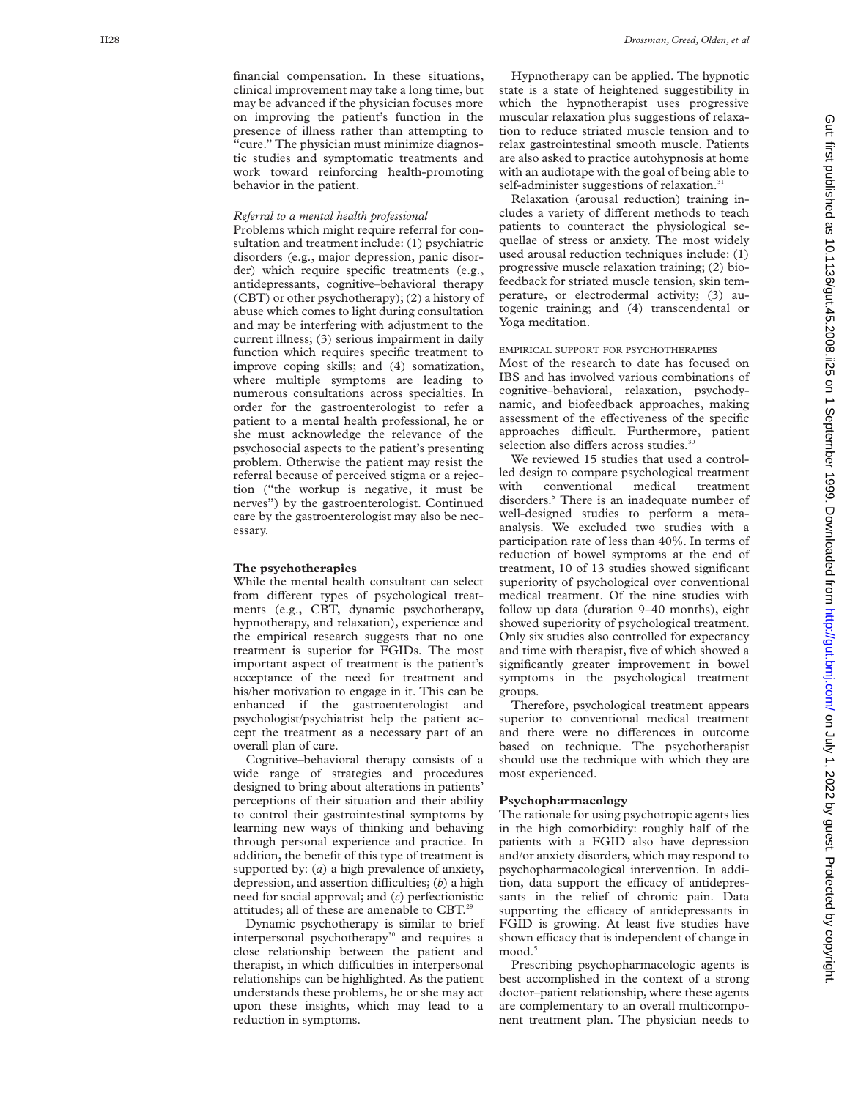financial compensation. In these situations, clinical improvement may take a long time, but may be advanced if the physician focuses more on improving the patient's function in the presence of illness rather than attempting to "cure." The physician must minimize diagnostic studies and symptomatic treatments and work toward reinforcing health-promoting behavior in the patient.

#### *Referral to a mental health professional*

Problems which might require referral for consultation and treatment include: (1) psychiatric disorders (e.g., major depression, panic disorder) which require specific treatments (e.g., antidepressants, cognitive–behavioral therapy (CBT) or other psychotherapy); (2) a history of abuse which comes to light during consultation and may be interfering with adjustment to the current illness; (3) serious impairment in daily function which requires specific treatment to improve coping skills; and (4) somatization, where multiple symptoms are leading to numerous consultations across specialties. In order for the gastroenterologist to refer a patient to a mental health professional, he or she must acknowledge the relevance of the psychosocial aspects to the patient's presenting problem. Otherwise the patient may resist the referral because of perceived stigma or a rejection ("the workup is negative, it must be nerves") by the gastroenterologist. Continued care by the gastroenterologist may also be necessary.

### **The psychotherapies**

While the mental health consultant can select from different types of psychological treatments (e.g., CBT, dynamic psychotherapy, hypnotherapy, and relaxation), experience and the empirical research suggests that no one treatment is superior for FGIDs. The most important aspect of treatment is the patient's acceptance of the need for treatment and his/her motivation to engage in it. This can be enhanced if the gastroenterologist and psychologist/psychiatrist help the patient accept the treatment as a necessary part of an overall plan of care.

Cognitive–behavioral therapy consists of a wide range of strategies and procedures designed to bring about alterations in patients' perceptions of their situation and their ability to control their gastrointestinal symptoms by learning new ways of thinking and behaving through personal experience and practice. In addition, the benefit of this type of treatment is supported by: ( *a*) a high prevalence of anxiety, depression, and assertion difficulties; (b) a high need for social approval; and ( *c*) perfectionistic attitudes; all of these are amenable to CBT.<sup>29</sup>

Dynamic psychotherapy is similar to brief interpersonal psychotherapy<sup>30</sup> and requires a close relationship between the patient and therapist, in which difficulties in interpersonal relationships can be highlighted. As the patient understands these problems, he or she may act upon these insights, which may lead to a reduction in symptoms.

Hypnotherapy can be applied. The hypnotic state is a state of heightened suggestibility in which the hypnotherapist uses progressive muscular relaxation plus suggestions of relaxation to reduce striated muscle tension and to relax gastrointestinal smooth muscle. Patients are also asked to practice autohypnosis at home with an audiotape with the goal of being able to self-administer suggestions of relaxation.<sup>31</sup>

Relaxation (arousal reduction) training includes a variety of different methods to teach patients to counteract the physiological sequellae of stress or anxiety. The most widely used arousal reduction techniques include: (1) progressive muscle relaxation training; (2) biofeedback for striated muscle tension, skin temperature, or electrodermal activity; (3) autogenic training; and (4) transcendental or Yoga meditation.

# EMPIRICAL SUPPORT FOR PSYCHOTHERAPIES

Most of the research to date has focused on IBS and has involved various combinations of cognitive–behavioral, relaxation, psychodynamic, and biofeedback approaches, making assessment of the effectiveness of the specific approaches difficult. Furthermore, patient selection also differs across studies.<sup>30</sup>

We reviewed 15 studies that used a controlled design to compare psychological treatment with conventional medical treatment disorders. <sup>5</sup> There is an inadequate number of well-designed studies to perform a metaanalysis. We excluded two studies with a participation rate of less than 40%. In terms of reduction of bowel symptoms at the end of treatment, 10 of 13 studies showed significant superiority of psychological over conventional medical treatment. Of the nine studies with follow up data (duration 9–40 months), eight showed superiority of psychological treatment. Only six studies also controlled for expectancy and time with therapist, five of which showed a significantly greater improvement in bowel symptoms in the psychological treatment groups.

Therefore, psychological treatment appears superior to conventional medical treatment and there were no differences in outcome based on technique. The psychotherapist should use the technique with which they are most experienced.

# **Psychopharmacology**

The rationale for using psychotropic agents lies in the high comorbidity: roughly half of the patients with a FGID also have depression and/or anxiety disorders, which may respond to psychopharmacological intervention. In addition, data support the efficacy of antidepressants in the relief of chronic pain. Data supporting the efficacy of antidepressants in FGID is growing. At least five studies have shown efficacy that is independent of change in mood. 5

Prescribing psychopharmacologic agents is best accomplished in the context of a strong doctor–patient relationship, where these agents are complementary to an overall multicomponent treatment plan. The physician needs to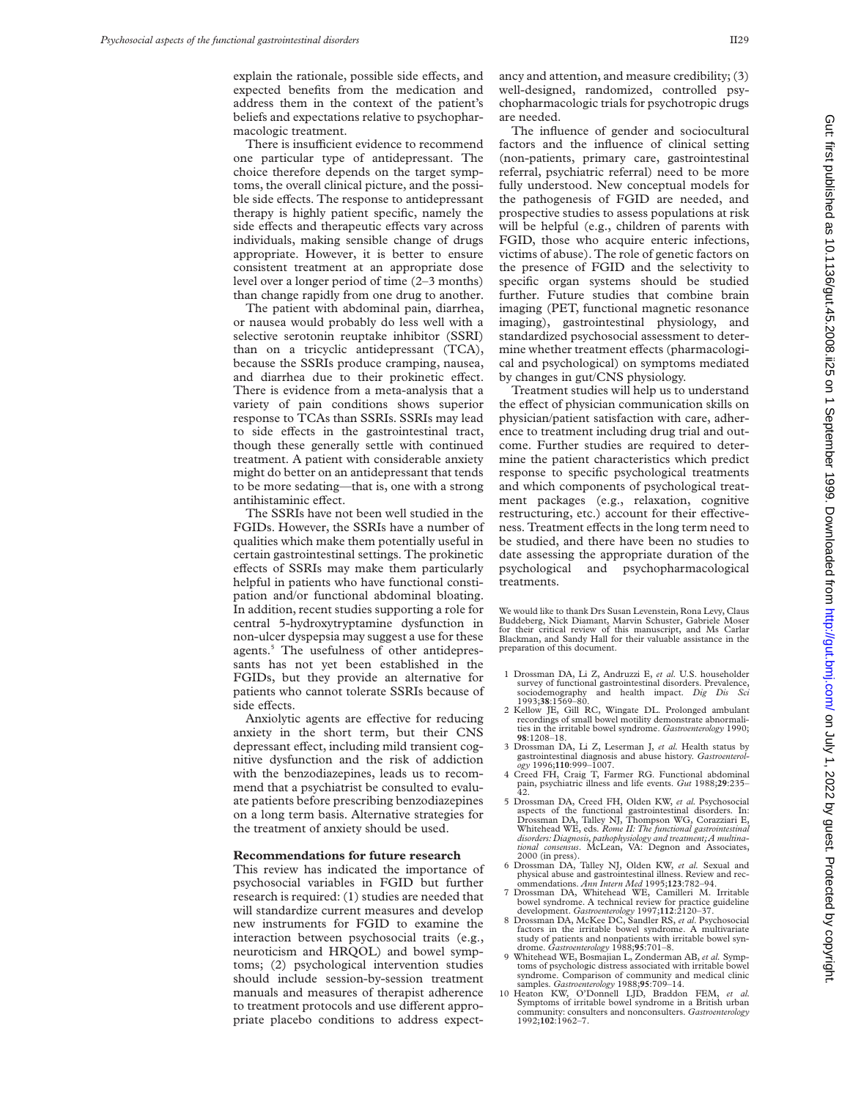explain the rationale, possible side effects, and expected benefits from the medication and address them in the context of the patient's beliefs and expectations relative to psychopharmacologic treatment.

There is insufficient evidence to recommend one particular type of antidepressant. The choice therefore depends on the target symptoms, the overall clinical picture, and the possible side effects. The response to antidepressant therapy is highly patient specific, namely the side effects and therapeutic effects vary across individuals, making sensible change of drugs appropriate. However, it is better to ensure consistent treatment at an appropriate dose level over a longer period of time (2–3 months) than change rapidly from one drug to another.

The patient with abdominal pain, diarrhea, or nausea would probably do less well with a selective serotonin reuptake inhibitor (SSRI) than on a tricyclic antidepressant (TCA), because the SSRIs produce cramping, nausea, and diarrhea due to their prokinetic effect. There is evidence from a meta-analysis that a variety of pain conditions shows superior response to TCAs than SSRIs. SSRIs may lead to side effects in the gastrointestinal tract, though these generally settle with continued treatment. A patient with considerable anxiety might do better on an antidepressant that tends to be more sedating—that is, one with a strong antihistaminic effect.

The SSRIs have not been well studied in the FGIDs. However, the SSRIs have a number of qualities which make them potentially useful in certain gastrointestinal settings. The prokinetic effects of SSRIs may make them particularly helpful in patients who have functional constipation and/or functional abdominal bloating. In addition, recent studies supporting a role for central 5-hydroxytryptamine dysfunction in non-ulcer dyspepsia may suggest a use for these agents.<sup>5</sup> The usefulness of other antidepressants has not yet been established in the FGIDs, but they provide an alternative for patients who cannot tolerate SSRIs because of side effects.

Anxiolytic agents are effective for reducing anxiety in the short term, but their CNS depressant effect, including mild transient cognitive dysfunction and the risk of addiction with the benzodiazepines, leads us to recommend that a psychiatrist be consulted to evaluate patients before prescribing benzodiazepines on a long term basis. Alternative strategies for the treatment of anxiety should be used.

#### **Recommendations for future research**

This review has indicated the importance of psychosocial variables in FGID but further research is required: (1) studies are needed that will standardize current measures and develop new instruments for FGID to examine the interaction between psychosocial traits (e.g., neuroticism and HRQOL) and bowel symptoms; (2) psychological intervention studies should include session-by-session treatment manuals and measures of therapist adherence to treatment protocols and use different appropriate placebo conditions to address expectancy and attention, and measure credibility; (3) well-designed, randomized, controlled psychopharmacologic trials for psychotropic drugs are needed.

The influence of gender and sociocultural factors and the influence of clinical setting (non-patients, primary care, gastrointestinal referral, psychiatric referral) need to be more fully understood. New conceptual models for the pathogenesis of FGID are needed, and prospective studies to assess populations at risk will be helpful (e.g., children of parents with FGID, those who acquire enteric infections, victims of abuse). The role of genetic factors on the presence of FGID and the selectivity to specific organ systems should be studied further. Future studies that combine brain imaging (PET, functional magnetic resonance imaging), gastrointestinal physiology, and standardized psychosocial assessment to determine whether treatment effects (pharmacological and psychological) on symptoms mediated by changes in gut/CNS physiology.

Treatment studies will help us to understand the effect of physician communication skills on physician/patient satisfaction with care, adherence to treatment including drug trial and outcome. Further studies are required to determine the patient characteristics which predict response to specific psychological treatments and which components of psychological treatment packages (e.g., relaxation, cognitive restructuring, etc.) account for their effectiveness. Treatment effects in the long term need to be studied, and there have been no studies to date assessing the appropriate duration of the psychological and psychopharmacological treatments.

We would like to thank Drs Susan Levenstein, Rona Levy, Claus Buddeberg, Nick Diamant, Marvin Schuster, Gabriele Moser for their critical review of this manuscript, and Ms Carlar Blackman, and Sandy Hall for their valuable assistance in the preparation of this document.

- 1 Drossman DA, Li Z, Andruzzi E, *et al*. U.S. householder survey of functional gastrointestinal disorders. Prevalence sociodemography and health impact. *Dig Dis Sci*<br>1993:38:1569–80
- 1993;**38**:1569–80. 2 Kellow JE, Gill RC, Wingate DL. Prolonged ambulant recordings of small bowel motility demonstrate abnormalities in the irritable bowel syndrome. *Gastroenterology* 1990; **<sup>98</sup>**:1208–18.
- 3 Drossman DA, Li Z, Leserman J, *et al.* Health status by gastrointestinal diagnosis and abuse history. *Gastroenterol-*
- 4 Creed FH, Craig T, Farmer RG. Functional abdominal pain, psychiatric illness and life events. *Gut* 1988;**29**:235– 42.
- 5 Drossman DA, Creed FH, Olden KW, *et al.* Psychosocial aspects of the functional gastrointestinal disorders. In: Drossman DA, Talley NJ, Thompson WG, Corazziari E, Whitehead WE, eds. *Rome II: The functional gastrointestinal disorders: Diagnosis, pathophysiology and treatment; A multina-tional consensus*. McLean, VA: Degnon and Associates,
- 2000 (in press). 6 Drossman DA, Talley NJ, Olden KW, *et al.* Sexual and physical abuse and gastrointestinal illness. Review and rec-ommendations. *Ann Intern Med* 1995;**123**:782–94.
- 7 Drossman DA, Whitehead WE, Camilleri M. Irritable bowel syndrome. A technical review for practice guideline development. *Gastroenterology* 1997;**112**:2120–37. 8 Drossman DA, McKee DC, Sandler RS, *et al*. Psychosocial
- factors in the irritable bowel syndrome. A multivariate study of patients and nonpatients with irritable bowel syndrome. *Gastroenterology* 1988;**95**:701–8. 9 Whitehead WE, Bosmajian L, Zonderman AB, *et al.* Symp-
- toms of psychologic distress associated with irritable bowel syndrome. Comparison of community and medical clinic samples. *Gastroenterology* 1988;**95**:709–14.
- 10 Heaton KW, O'Donnell LJD, Braddon FEM, Symptoms of irritable bowel syndrome in a British urban community: consulters and nonconsulters. *Gastroenterology* 1992;**102**:1962–7.